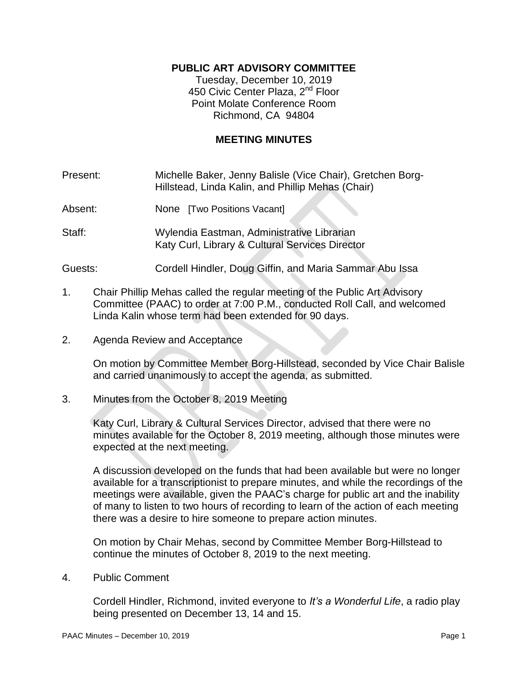# **PUBLIC ART ADVISORY COMMITTEE**

Tuesday, December 10, 2019 450 Civic Center Plaza, 2<sup>nd</sup> Floor Point Molate Conference Room Richmond, CA 94804

# **MEETING MINUTES**

Present: Michelle Baker, Jenny Balisle (Vice Chair), Gretchen Borg-Hillstead, Linda Kalin, and Phillip Mehas (Chair)

Absent: None [Two Positions Vacant]

Staff: Wylendia Eastman, Administrative Librarian Katy Curl, Library & Cultural Services Director

Guests: Cordell Hindler, Doug Giffin, and Maria Sammar Abu Issa

- 1. Chair Phillip Mehas called the regular meeting of the Public Art Advisory Committee (PAAC) to order at 7:00 P.M., conducted Roll Call, and welcomed Linda Kalin whose term had been extended for 90 days.
- 2. Agenda Review and Acceptance

On motion by Committee Member Borg-Hillstead, seconded by Vice Chair Balisle and carried unanimously to accept the agenda, as submitted.

3. Minutes from the October 8, 2019 Meeting

Katy Curl, Library & Cultural Services Director, advised that there were no minutes available for the October 8, 2019 meeting, although those minutes were expected at the next meeting.

A discussion developed on the funds that had been available but were no longer available for a transcriptionist to prepare minutes, and while the recordings of the meetings were available, given the PAAC's charge for public art and the inability of many to listen to two hours of recording to learn of the action of each meeting there was a desire to hire someone to prepare action minutes.

On motion by Chair Mehas, second by Committee Member Borg-Hillstead to continue the minutes of October 8, 2019 to the next meeting.

4. Public Comment

Cordell Hindler, Richmond, invited everyone to *It's a Wonderful Life*, a radio play being presented on December 13, 14 and 15.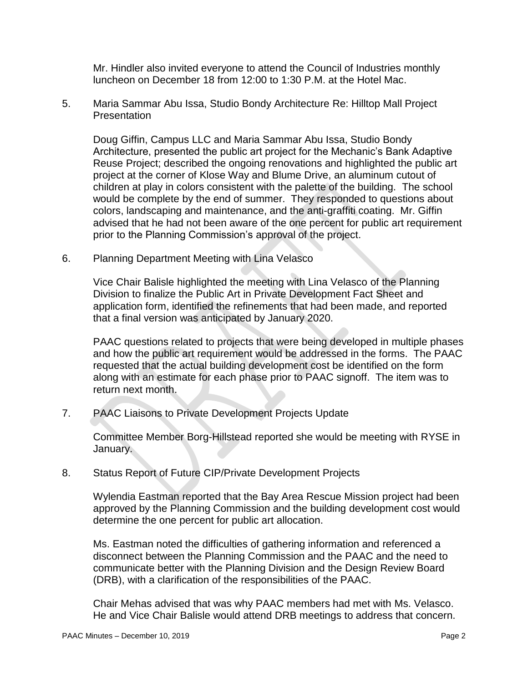Mr. Hindler also invited everyone to attend the Council of Industries monthly luncheon on December 18 from 12:00 to 1:30 P.M. at the Hotel Mac.

5. Maria Sammar Abu Issa, Studio Bondy Architecture Re: Hilltop Mall Project Presentation

Doug Giffin, Campus LLC and Maria Sammar Abu Issa, Studio Bondy Architecture, presented the public art project for the Mechanic's Bank Adaptive Reuse Project; described the ongoing renovations and highlighted the public art project at the corner of Klose Way and Blume Drive, an aluminum cutout of children at play in colors consistent with the palette of the building. The school would be complete by the end of summer. They responded to questions about colors, landscaping and maintenance, and the anti-graffiti coating. Mr. Giffin advised that he had not been aware of the one percent for public art requirement prior to the Planning Commission's approval of the project.

6. Planning Department Meeting with Lina Velasco

Vice Chair Balisle highlighted the meeting with Lina Velasco of the Planning Division to finalize the Public Art in Private Development Fact Sheet and application form, identified the refinements that had been made, and reported that a final version was anticipated by January 2020.

PAAC questions related to projects that were being developed in multiple phases and how the public art requirement would be addressed in the forms. The PAAC requested that the actual building development cost be identified on the form along with an estimate for each phase prior to PAAC signoff. The item was to return next month.

7. PAAC Liaisons to Private Development Projects Update

Committee Member Borg-Hillstead reported she would be meeting with RYSE in January.

8. Status Report of Future CIP/Private Development Projects

Wylendia Eastman reported that the Bay Area Rescue Mission project had been approved by the Planning Commission and the building development cost would determine the one percent for public art allocation.

Ms. Eastman noted the difficulties of gathering information and referenced a disconnect between the Planning Commission and the PAAC and the need to communicate better with the Planning Division and the Design Review Board (DRB), with a clarification of the responsibilities of the PAAC.

Chair Mehas advised that was why PAAC members had met with Ms. Velasco. He and Vice Chair Balisle would attend DRB meetings to address that concern.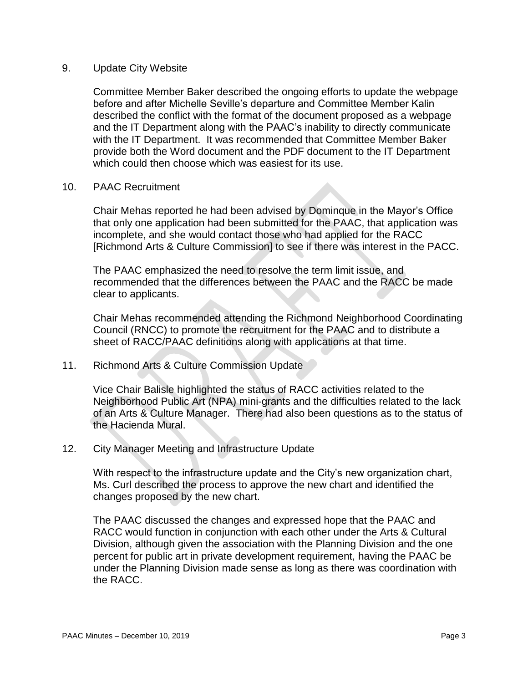### 9. Update City Website

Committee Member Baker described the ongoing efforts to update the webpage before and after Michelle Seville's departure and Committee Member Kalin described the conflict with the format of the document proposed as a webpage and the IT Department along with the PAAC's inability to directly communicate with the IT Department. It was recommended that Committee Member Baker provide both the Word document and the PDF document to the IT Department which could then choose which was easiest for its use.

### 10. PAAC Recruitment

Chair Mehas reported he had been advised by Dominque in the Mayor's Office that only one application had been submitted for the PAAC, that application was incomplete, and she would contact those who had applied for the RACC [Richmond Arts & Culture Commission] to see if there was interest in the PACC.

The PAAC emphasized the need to resolve the term limit issue, and recommended that the differences between the PAAC and the RACC be made clear to applicants.

Chair Mehas recommended attending the Richmond Neighborhood Coordinating Council (RNCC) to promote the recruitment for the PAAC and to distribute a sheet of RACC/PAAC definitions along with applications at that time.

### 11. Richmond Arts & Culture Commission Update

Vice Chair Balisle highlighted the status of RACC activities related to the Neighborhood Public Art (NPA) mini-grants and the difficulties related to the lack of an Arts & Culture Manager. There had also been questions as to the status of the Hacienda Mural.

### 12. City Manager Meeting and Infrastructure Update

With respect to the infrastructure update and the City's new organization chart, Ms. Curl described the process to approve the new chart and identified the changes proposed by the new chart.

The PAAC discussed the changes and expressed hope that the PAAC and RACC would function in conjunction with each other under the Arts & Cultural Division, although given the association with the Planning Division and the one percent for public art in private development requirement, having the PAAC be under the Planning Division made sense as long as there was coordination with the RACC.